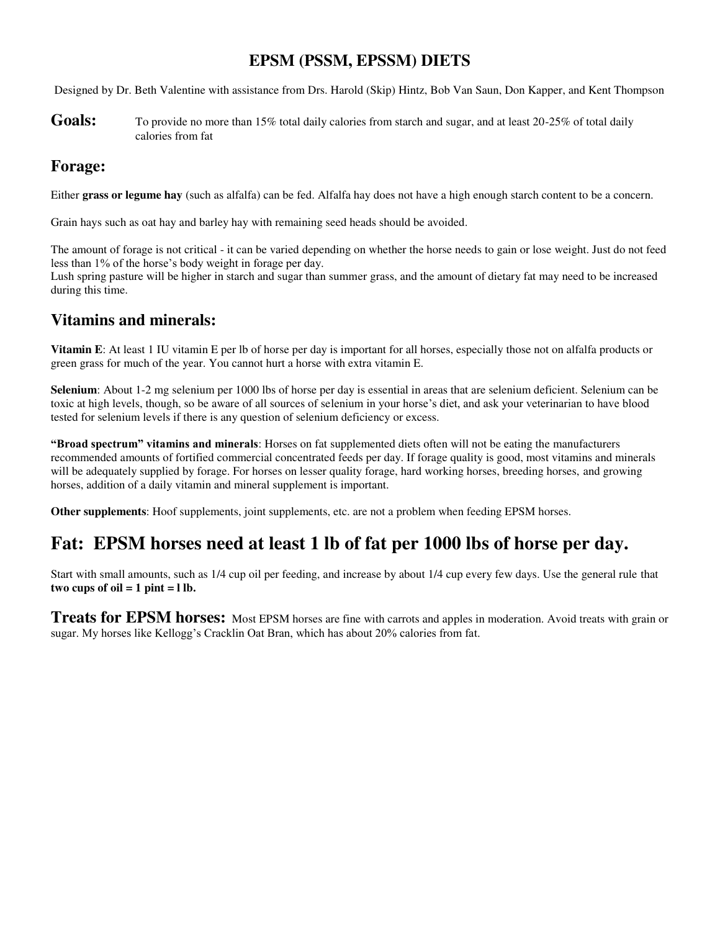## **EPSM (PSSM, EPSSM) DIETS**

Designed by Dr. Beth Valentine with assistance from Drs. Harold (Skip) Hintz, Bob Van Saun, Don Kapper, and Kent Thompson

Goals: To provide no more than 15% total daily calories from starch and sugar, and at least 20-25% of total daily calories from fat

### **Forage:**

Either **grass or legume hay** (such as alfalfa) can be fed. Alfalfa hay does not have a high enough starch content to be a concern.

Grain hays such as oat hay and barley hay with remaining seed heads should be avoided.

The amount of forage is not critical - it can be varied depending on whether the horse needs to gain or lose weight. Just do not feed less than 1% of the horse's body weight in forage per day.

Lush spring pasture will be higher in starch and sugar than summer grass, and the amount of dietary fat may need to be increased during this time.

### **Vitamins and minerals:**

**Vitamin E**: At least 1 IU vitamin E per lb of horse per day is important for all horses, especially those not on alfalfa products or green grass for much of the year. You cannot hurt a horse with extra vitamin E.

**Selenium**: About 1-2 mg selenium per 1000 lbs of horse per day is essential in areas that are selenium deficient. Selenium can be toxic at high levels, though, so be aware of all sources of selenium in your horse's diet, and ask your veterinarian to have blood tested for selenium levels if there is any question of selenium deficiency or excess.

**"Broad spectrum" vitamins and minerals**: Horses on fat supplemented diets often will not be eating the manufacturers recommended amounts of fortified commercial concentrated feeds per day. If forage quality is good, most vitamins and minerals will be adequately supplied by forage. For horses on lesser quality forage, hard working horses, breeding horses, and growing horses, addition of a daily vitamin and mineral supplement is important.

**Other supplements**: Hoof supplements, joint supplements, etc. are not a problem when feeding EPSM horses.

# **Fat: EPSM horses need at least 1 lb of fat per 1000 lbs of horse per day.**

Start with small amounts, such as 1/4 cup oil per feeding, and increase by about 1/4 cup every few days. Use the general rule that two cups of  $oil = 1$  pint  $= 1$  lb.

**Treats for EPSM horses:** Most EPSM horses are fine with carrots and apples in moderation. Avoid treats with grain or sugar. My horses like Kellogg's Cracklin Oat Bran, which has about 20% calories from fat.